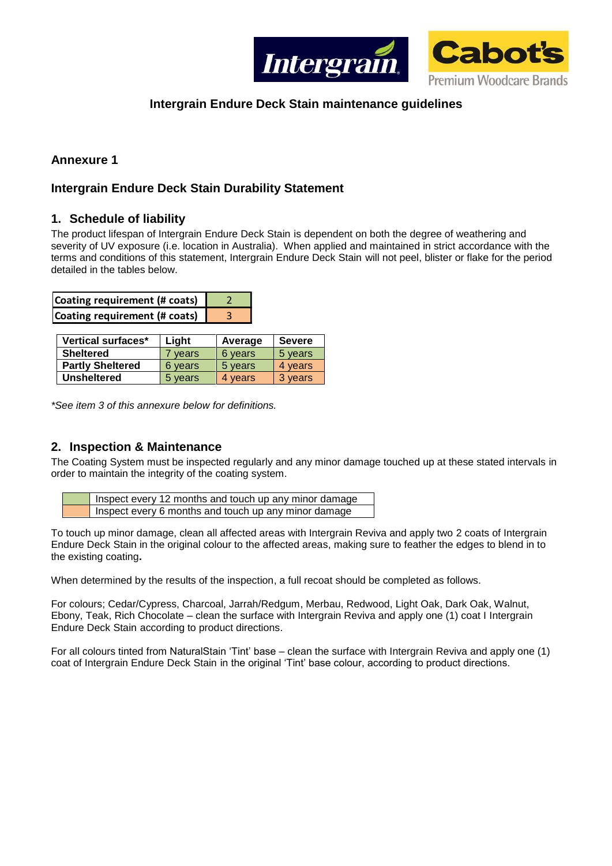

## **Intergrain Endure Deck Stain maintenance guidelines**

## **Annexure 1**

### **Intergrain Endure Deck Stain Durability Statement**

#### **1. Schedule of liability**

The product lifespan of Intergrain Endure Deck Stain is dependent on both the degree of weathering and severity of UV exposure (i.e. location in Australia). When applied and maintained in strict accordance with the terms and conditions of this statement, Intergrain Endure Deck Stain will not peel, blister or flake for the period detailed in the tables below.

| Coating requirement (# coats) |  |
|-------------------------------|--|
| Coating requirement (# coats) |  |

| Vertical surfaces*      | Light   | Average | <b>Severe</b> |  |
|-------------------------|---------|---------|---------------|--|
| <b>Sheltered</b>        | 7 vears | 6 years | 5 years       |  |
| <b>Partly Sheltered</b> | 6 years | 5 years | 4 vears       |  |
| <b>Unsheltered</b>      | 5 years | 4 vears | 3 years       |  |

*\*See item 3 of this annexure below for definitions.*

### **2. Inspection & Maintenance**

The Coating System must be inspected regularly and any minor damage touched up at these stated intervals in order to maintain the integrity of the coating system.

| Inspect every 12 months and touch up any minor damage |
|-------------------------------------------------------|
| Inspect every 6 months and touch up any minor damage  |

To touch up minor damage, clean all affected areas with Intergrain Reviva and apply two 2 coats of Intergrain Endure Deck Stain in the original colour to the affected areas, making sure to feather the edges to blend in to the existing coating**.**

When determined by the results of the inspection, a full recoat should be completed as follows.

For colours; Cedar/Cypress, Charcoal, Jarrah/Redgum, Merbau, Redwood, Light Oak, Dark Oak, Walnut, Ebony, Teak, Rich Chocolate – clean the surface with Intergrain Reviva and apply one (1) coat I Intergrain Endure Deck Stain according to product directions.

For all colours tinted from NaturalStain 'Tint' base – clean the surface with Intergrain Reviva and apply one (1) coat of Intergrain Endure Deck Stain in the original 'Tint' base colour, according to product directions.